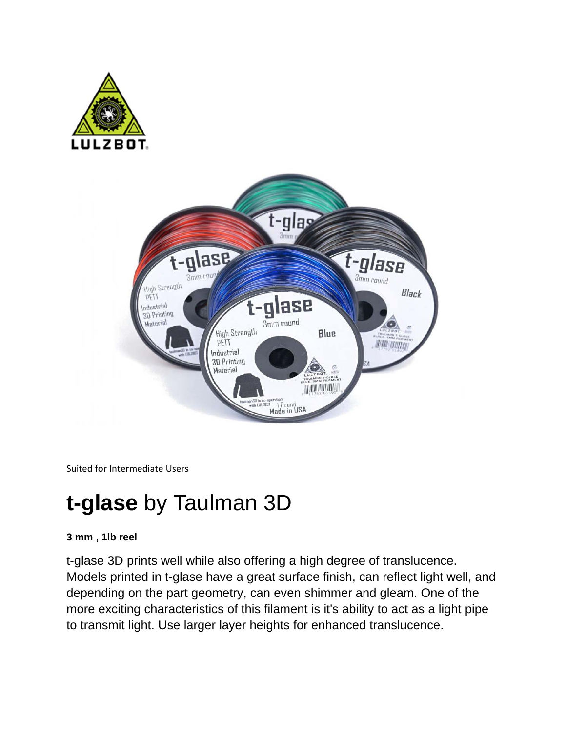



Suited for Intermediate Users

# **t-glase** by Taulman 3D

### **3 mm , 1lb reel**

t-glase 3D prints well while also offering a high degree of translucence. Models printed in t-glase have a great surface finish, can reflect light well, and depending on the part geometry, can even shimmer and gleam. One of the more exciting characteristics of this filament is it's ability to act as a light pipe to transmit light. Use larger layer heights for enhanced translucence.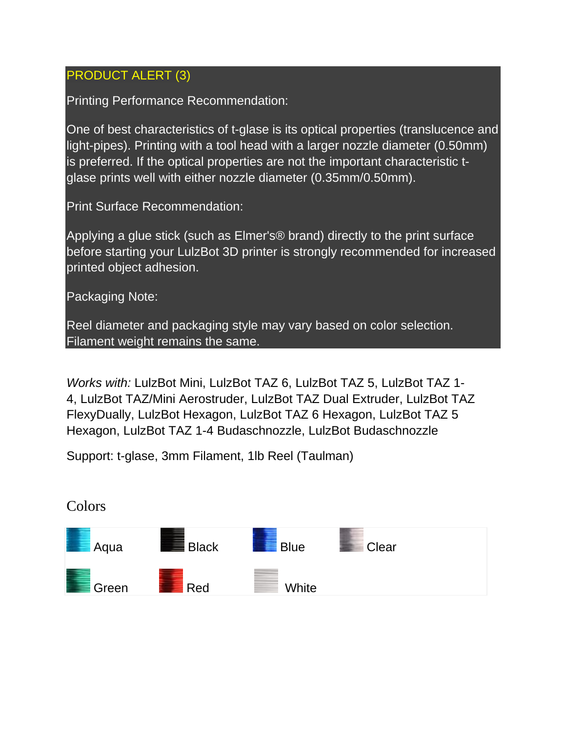## PRODUCT ALERT (3)

Printing Performance Recommendation:

One of best characteristics of t-glase is its optical properties (translucence and light-pipes). Printing with a tool head with a larger nozzle diameter (0.50mm) is preferred. If the optical properties are not the important characteristic tglase prints well with either nozzle diameter (0.35mm/0.50mm).

Print Surface Recommendation:

Applying a glue stick (such as Elmer's® brand) directly to the print surface before starting your LulzBot 3D printer is strongly recommended for increased printed object adhesion.

Packaging Note:

Reel diameter and packaging style may vary based on color selection. Filament weight remains the same.

*Works with:* LulzBot Mini, LulzBot TAZ 6, LulzBot TAZ 5, LulzBot TAZ 1- 4, LulzBot TAZ/Mini Aerostruder, LulzBot TAZ Dual Extruder, LulzBot TAZ FlexyDually, LulzBot Hexagon, LulzBot TAZ 6 Hexagon, LulzBot TAZ 5 Hexagon, LulzBot TAZ 1-4 Budaschnozzle, LulzBot Budaschnozzle

Support: t-glase, 3mm Filament, 1lb Reel (Taulman)



Colors